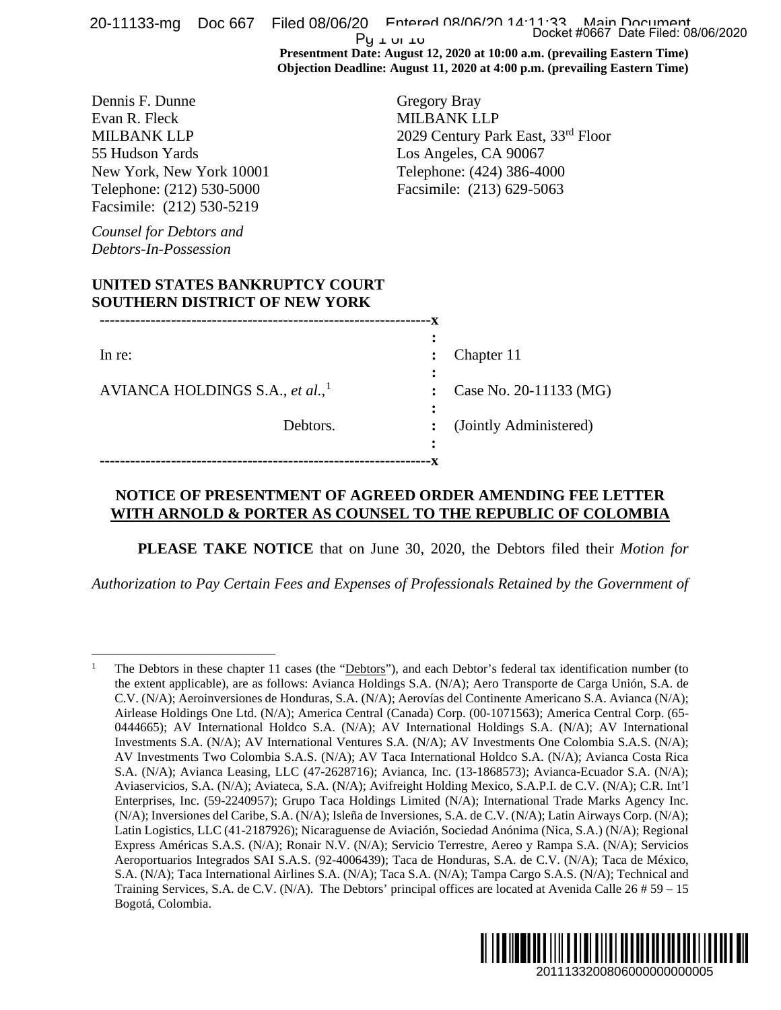|                                                                                                                                                                 |  |                                                                        | $Py \text{ to }$ | 20-11133-mg Doc 667 Filed 08/06/20 Fotored 08/06/20 14:11:33 Main Document<br>Docket #0667 Date Filed: 08/06/2020                                                                                                                                                                                                                                                                                                                                                                                                                                                                                                                                                                                                                                                                                                                                                                                                                                                                                                                                                                                                                                                                                                                                                                                                                                                                                                                                                                                                                                                                                                                                                                                                                                                                                                              |  |  |
|-----------------------------------------------------------------------------------------------------------------------------------------------------------------|--|------------------------------------------------------------------------|------------------|--------------------------------------------------------------------------------------------------------------------------------------------------------------------------------------------------------------------------------------------------------------------------------------------------------------------------------------------------------------------------------------------------------------------------------------------------------------------------------------------------------------------------------------------------------------------------------------------------------------------------------------------------------------------------------------------------------------------------------------------------------------------------------------------------------------------------------------------------------------------------------------------------------------------------------------------------------------------------------------------------------------------------------------------------------------------------------------------------------------------------------------------------------------------------------------------------------------------------------------------------------------------------------------------------------------------------------------------------------------------------------------------------------------------------------------------------------------------------------------------------------------------------------------------------------------------------------------------------------------------------------------------------------------------------------------------------------------------------------------------------------------------------------------------------------------------------------|--|--|
|                                                                                                                                                                 |  |                                                                        |                  | Presentment Date: August 12, 2020 at 10:00 a.m. (prevailing Eastern Time)<br>Objection Deadline: August 11, 2020 at 4:00 p.m. (prevailing Eastern Time)                                                                                                                                                                                                                                                                                                                                                                                                                                                                                                                                                                                                                                                                                                                                                                                                                                                                                                                                                                                                                                                                                                                                                                                                                                                                                                                                                                                                                                                                                                                                                                                                                                                                        |  |  |
| Dennis F. Dunne<br>Evan R. Fleck<br><b>MILBANK LLP</b><br>55 Hudson Yards<br>New York, New York 10001<br>Telephone: (212) 530-5000<br>Facsimile: (212) 530-5219 |  |                                                                        |                  | Gregory Bray<br><b>MILBANK LLP</b><br>2029 Century Park East, 33rd Floor<br>Los Angeles, CA 90067<br>Telephone: (424) 386-4000<br>Facsimile: (213) 629-5063                                                                                                                                                                                                                                                                                                                                                                                                                                                                                                                                                                                                                                                                                                                                                                                                                                                                                                                                                                                                                                                                                                                                                                                                                                                                                                                                                                                                                                                                                                                                                                                                                                                                    |  |  |
| Counsel for Debtors and<br>Debtors-In-Possession                                                                                                                |  |                                                                        |                  |                                                                                                                                                                                                                                                                                                                                                                                                                                                                                                                                                                                                                                                                                                                                                                                                                                                                                                                                                                                                                                                                                                                                                                                                                                                                                                                                                                                                                                                                                                                                                                                                                                                                                                                                                                                                                                |  |  |
|                                                                                                                                                                 |  | UNITED STATES BANKRUPTCY COURT<br><b>SOUTHERN DISTRICT OF NEW YORK</b> |                  |                                                                                                                                                                                                                                                                                                                                                                                                                                                                                                                                                                                                                                                                                                                                                                                                                                                                                                                                                                                                                                                                                                                                                                                                                                                                                                                                                                                                                                                                                                                                                                                                                                                                                                                                                                                                                                |  |  |
|                                                                                                                                                                 |  |                                                                        |                  |                                                                                                                                                                                                                                                                                                                                                                                                                                                                                                                                                                                                                                                                                                                                                                                                                                                                                                                                                                                                                                                                                                                                                                                                                                                                                                                                                                                                                                                                                                                                                                                                                                                                                                                                                                                                                                |  |  |
| In re:                                                                                                                                                          |  |                                                                        |                  | Chapter 11                                                                                                                                                                                                                                                                                                                                                                                                                                                                                                                                                                                                                                                                                                                                                                                                                                                                                                                                                                                                                                                                                                                                                                                                                                                                                                                                                                                                                                                                                                                                                                                                                                                                                                                                                                                                                     |  |  |
| AVIANCA HOLDINGS S.A., et al., $\frac{1}{2}$                                                                                                                    |  |                                                                        |                  | Case No. 20-11133 (MG)                                                                                                                                                                                                                                                                                                                                                                                                                                                                                                                                                                                                                                                                                                                                                                                                                                                                                                                                                                                                                                                                                                                                                                                                                                                                                                                                                                                                                                                                                                                                                                                                                                                                                                                                                                                                         |  |  |
|                                                                                                                                                                 |  |                                                                        |                  |                                                                                                                                                                                                                                                                                                                                                                                                                                                                                                                                                                                                                                                                                                                                                                                                                                                                                                                                                                                                                                                                                                                                                                                                                                                                                                                                                                                                                                                                                                                                                                                                                                                                                                                                                                                                                                |  |  |
|                                                                                                                                                                 |  | Debtors.                                                               |                  | (Jointly Administered)                                                                                                                                                                                                                                                                                                                                                                                                                                                                                                                                                                                                                                                                                                                                                                                                                                                                                                                                                                                                                                                                                                                                                                                                                                                                                                                                                                                                                                                                                                                                                                                                                                                                                                                                                                                                         |  |  |
|                                                                                                                                                                 |  |                                                                        |                  | WITH ARNOLD & PORTER AS COUNSEL TO THE REPUBLIC OF COLOMBIA<br>PLEASE TAKE NOTICE that on June 30, 2020, the Debtors filed their Motion for<br>Authorization to Pay Certain Fees and Expenses of Professionals Retained by the Government of                                                                                                                                                                                                                                                                                                                                                                                                                                                                                                                                                                                                                                                                                                                                                                                                                                                                                                                                                                                                                                                                                                                                                                                                                                                                                                                                                                                                                                                                                                                                                                                   |  |  |
|                                                                                                                                                                 |  |                                                                        |                  |                                                                                                                                                                                                                                                                                                                                                                                                                                                                                                                                                                                                                                                                                                                                                                                                                                                                                                                                                                                                                                                                                                                                                                                                                                                                                                                                                                                                                                                                                                                                                                                                                                                                                                                                                                                                                                |  |  |
| $\mathbf{1}$<br>Bogotá, Colombia.                                                                                                                               |  |                                                                        |                  | The Debtors in these chapter 11 cases (the "Debtors"), and each Debtor's federal tax identification number (to<br>the extent applicable), are as follows: Avianca Holdings S.A. (N/A); Aero Transporte de Carga Unión, S.A. de<br>C.V. (N/A); Aeroinversiones de Honduras, S.A. (N/A); Aerovías del Continente Americano S.A. Avianca (N/A);<br>Airlease Holdings One Ltd. (N/A); America Central (Canada) Corp. (00-1071563); America Central Corp. (65-<br>0444665); AV International Holdco S.A. (N/A); AV International Holdings S.A. (N/A); AV International<br>Investments S.A. (N/A); AV International Ventures S.A. (N/A); AV Investments One Colombia S.A.S. (N/A);<br>AV Investments Two Colombia S.A.S. (N/A); AV Taca International Holdco S.A. (N/A); Avianca Costa Rica<br>S.A. (N/A); Avianca Leasing, LLC (47-2628716); Avianca, Inc. (13-1868573); Avianca-Ecuador S.A. (N/A);<br>Aviaservicios, S.A. (N/A); Aviateca, S.A. (N/A); Avifreight Holding Mexico, S.A.P.I. de C.V. (N/A); C.R. Int'l<br>Enterprises, Inc. (59-2240957); Grupo Taca Holdings Limited (N/A); International Trade Marks Agency Inc.<br>(N/A); Inversiones del Caribe, S.A. (N/A); Isleña de Inversiones, S.A. de C.V. (N/A); Latin Airways Corp. (N/A);<br>Latin Logistics, LLC (41-2187926); Nicaraguense de Aviación, Sociedad Anónima (Nica, S.A.) (N/A); Regional<br>Express Américas S.A.S. (N/A); Ronair N.V. (N/A); Servicio Terrestre, Aereo y Rampa S.A. (N/A); Servicios<br>Aeroportuarios Integrados SAI S.A.S. (92-4006439); Taca de Honduras, S.A. de C.V. (N/A); Taca de México,<br>S.A. (N/A); Taca International Airlines S.A. (N/A); Taca S.A. (N/A); Tampa Cargo S.A.S. (N/A); Technical and<br>Training Services, S.A. de C.V. (N/A). The Debtors' principal offices are located at Avenida Calle $26 \# 59 - 15$ |  |  |
|                                                                                                                                                                 |  |                                                                        |                  | 2011133200806000000000005                                                                                                                                                                                                                                                                                                                                                                                                                                                                                                                                                                                                                                                                                                                                                                                                                                                                                                                                                                                                                                                                                                                                                                                                                                                                                                                                                                                                                                                                                                                                                                                                                                                                                                                                                                                                      |  |  |

## **NOTICE OF PRESENTMENT OF AGREED ORDER AMENDING FEE LETTER WITH ARNOLD & PORTER AS COUNSEL TO THE REPUBLIC OF COLOMBIA**

<span id="page-0-0"></span><sup>1</sup> The Debtors in these chapter 11 cases (the "Debtors"), and each Debtor's federal tax identification number (to the extent applicable), are as follows: Avianca Holdings S.A. (N/A); Aero Transporte de Carga Unión, S.A. de C.V. (N/A); Aeroinversiones de Honduras, S.A. (N/A); Aerovías del Continente Americano S.A. Avianca (N/A); Airlease Holdings One Ltd. (N/A); America Central (Canada) Corp. (00-1071563); America Central Corp. (65- 0444665); AV International Holdco S.A. (N/A); AV International Holdings S.A. (N/A); AV International Investments S.A. (N/A); AV International Ventures S.A. (N/A); AV Investments One Colombia S.A.S. (N/A); AV Investments Two Colombia S.A.S. (N/A); AV Taca International Holdco S.A. (N/A); Avianca Costa Rica S.A. (N/A); Avianca Leasing, LLC (47-2628716); Avianca, Inc. (13-1868573); Avianca-Ecuador S.A. (N/A); Aviaservicios, S.A. (N/A); Aviateca, S.A. (N/A); Avifreight Holding Mexico, S.A.P.I. de C.V. (N/A); C.R. Int'l Enterprises, Inc. (59-2240957); Grupo Taca Holdings Limited (N/A); International Trade Marks Agency Inc. (N/A); Inversiones del Caribe, S.A. (N/A); Isleña de Inversiones, S.A. de C.V. (N/A); Latin Airways Corp. (N/A); Latin Logistics, LLC (41-2187926); Nicaraguense de Aviación, Sociedad Anónima (Nica, S.A.) (N/A); Regional Express Américas S.A.S. (N/A); Ronair N.V. (N/A); Servicio Terrestre, Aereo y Rampa S.A. (N/A); Servicios Aeroportuarios Integrados SAI S.A.S. (92-4006439); Taca de Honduras, S.A. de C.V. (N/A); Taca de México, S.A. (N/A); Taca International Airlines S.A. (N/A); Taca S.A. (N/A); Tampa Cargo S.A.S. (N/A); Technical and Training Services, S.A. de C.V. (N/A). The Debtors' principal offices are located at Avenida Calle 26 # 59 – 15 Bogotá, Colombia.

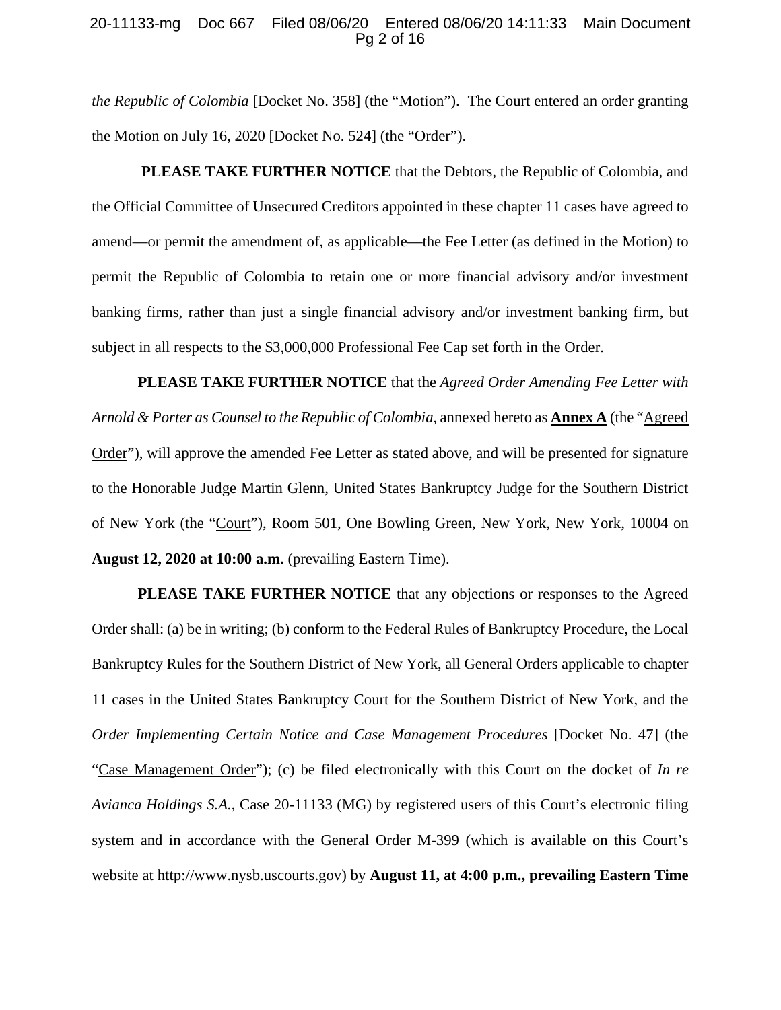### 20-11133-mg Doc 667 Filed 08/06/20 Entered 08/06/20 14:11:33 Main Document Pg 2 of 16

*the Republic of Colombia* [Docket No. 358] (the "Motion"). The Court entered an order granting the Motion on July 16, 2020 [Docket No. 524] (the "Order").

**PLEASE TAKE FURTHER NOTICE** that the Debtors, the Republic of Colombia, and the Official Committee of Unsecured Creditors appointed in these chapter 11 cases have agreed to amend—or permit the amendment of, as applicable—the Fee Letter (as defined in the Motion) to permit the Republic of Colombia to retain one or more financial advisory and/or investment banking firms, rather than just a single financial advisory and/or investment banking firm, but subject in all respects to the \$3,000,000 Professional Fee Cap set forth in the Order.

**PLEASE TAKE FURTHER NOTICE** that the *Agreed Order Amending Fee Letter with Arnold & Porter as Counsel to the Republic of Colombia*, annexed hereto as **Annex A** (the "Agreed Order"), will approve the amended Fee Letter as stated above, and will be presented for signature to the Honorable Judge Martin Glenn, United States Bankruptcy Judge for the Southern District of New York (the "Court"), Room 501, One Bowling Green, New York, New York, 10004 on **August 12, 2020 at 10:00 a.m.** (prevailing Eastern Time).

**PLEASE TAKE FURTHER NOTICE** that any objections or responses to the Agreed Order shall: (a) be in writing; (b) conform to the Federal Rules of Bankruptcy Procedure, the Local Bankruptcy Rules for the Southern District of New York, all General Orders applicable to chapter 11 cases in the United States Bankruptcy Court for the Southern District of New York, and the *Order Implementing Certain Notice and Case Management Procedures* [Docket No. 47] (the "Case Management Order"); (c) be filed electronically with this Court on the docket of *In re Avianca Holdings S.A.*, Case 20-11133 (MG) by registered users of this Court's electronic filing system and in accordance with the General Order M-399 (which is available on this Court's website at http://www.nysb.uscourts.gov) by **August 11, at 4:00 p.m., prevailing Eastern Time**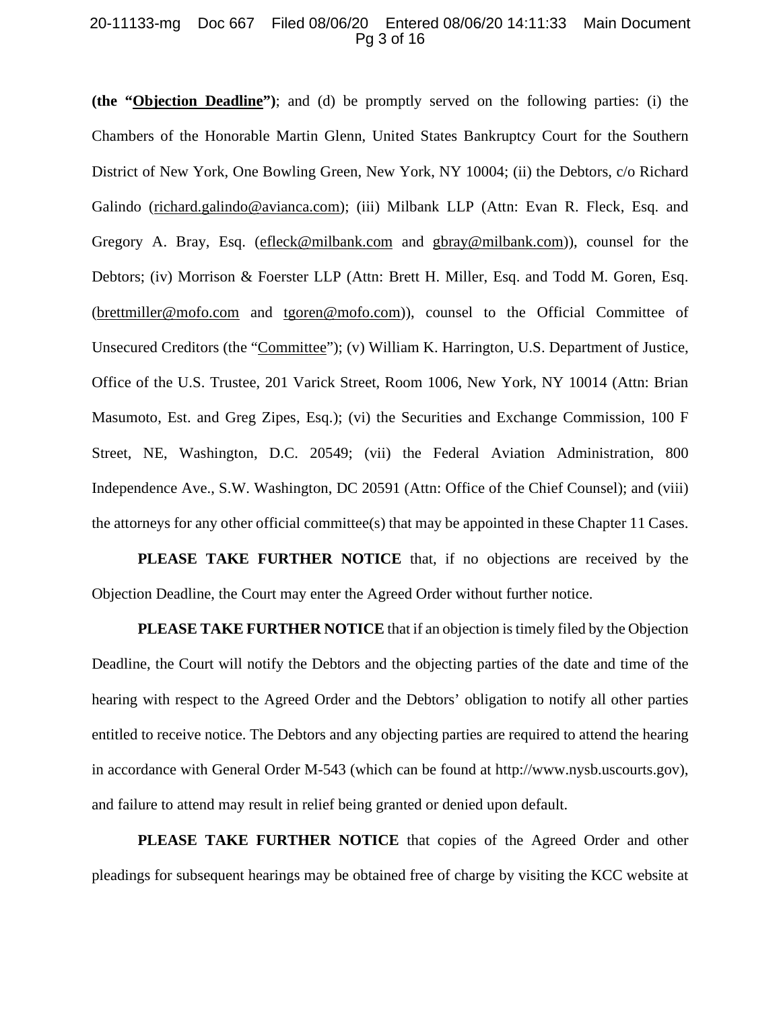### 20-11133-mg Doc 667 Filed 08/06/20 Entered 08/06/20 14:11:33 Main Document Pg 3 of 16

**(the "Objection Deadline")**; and (d) be promptly served on the following parties: (i) the Chambers of the Honorable Martin Glenn, United States Bankruptcy Court for the Southern District of New York, One Bowling Green, New York, NY 10004; (ii) the Debtors, c/o Richard Galindo (richard.galindo@avianca.com); (iii) Milbank LLP (Attn: Evan R. Fleck, Esq. and Gregory A. Bray, Esq. [\(efleck@milbank.com](mailto:efleck@milbank.com) and [gbray@milbank.com\)](mailto:gbray@milbank.com)), counsel for the Debtors; (iv) Morrison & Foerster LLP (Attn: Brett H. Miller, Esq. and Todd M. Goren, Esq. [\(brettmiller@mofo.com](mailto:brettmiller@mofo.com) and [tgoren@mofo.com\)](mailto:tgoren@mofo.com)), counsel to the Official Committee of Unsecured Creditors (the "Committee"); (v) William K. Harrington, U.S. Department of Justice, Office of the U.S. Trustee, 201 Varick Street, Room 1006, New York, NY 10014 (Attn: Brian Masumoto, Est. and Greg Zipes, Esq.); (vi) the Securities and Exchange Commission, 100 F Street, NE, Washington, D.C. 20549; (vii) the Federal Aviation Administration, 800 Independence Ave., S.W. Washington, DC 20591 (Attn: Office of the Chief Counsel); and (viii) the attorneys for any other official committee(s) that may be appointed in these Chapter 11 Cases.

**PLEASE TAKE FURTHER NOTICE** that, if no objections are received by the Objection Deadline, the Court may enter the Agreed Order without further notice.

**PLEASE TAKE FURTHER NOTICE** that if an objection is timely filed by the Objection Deadline, the Court will notify the Debtors and the objecting parties of the date and time of the hearing with respect to the Agreed Order and the Debtors' obligation to notify all other parties entitled to receive notice. The Debtors and any objecting parties are required to attend the hearing in accordance with General Order M-543 (which can be found at http://www.nysb.uscourts.gov), and failure to attend may result in relief being granted or denied upon default.

**PLEASE TAKE FURTHER NOTICE** that copies of the Agreed Order and other pleadings for subsequent hearings may be obtained free of charge by visiting the KCC website at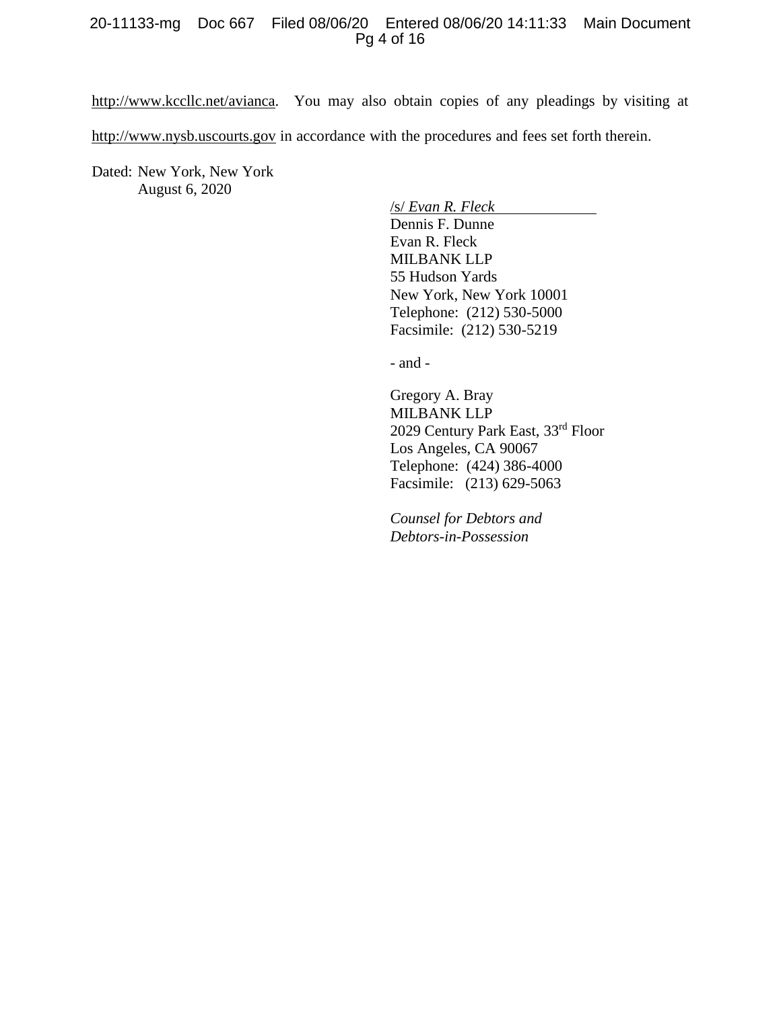### 20-11133-mg Doc 667 Filed 08/06/20 Entered 08/06/20 14:11:33 Main Document Pg 4 of 16

http://www.kccllc.net/avianca. You may also obtain copies of any pleadings by visiting at [http://www.nysb.uscourts.gov](http://www.nysb.uscourts.gov/) in accordance with the procedures and fees set forth therein.

Dated: New York, New York August 6, 2020

/s/ *Evan R. Fleck*

Dennis F. Dunne Evan R. Fleck MILBANK LLP 55 Hudson Yards New York, New York 10001 Telephone: (212) 530-5000 Facsimile: (212) 530-5219

- and -

Gregory A. Bray MILBANK LLP 2029 Century Park East, 33rd Floor Los Angeles, CA 90067 Telephone: (424) 386-4000 Facsimile: (213) 629-5063

*Counsel for Debtors and Debtors-in-Possession*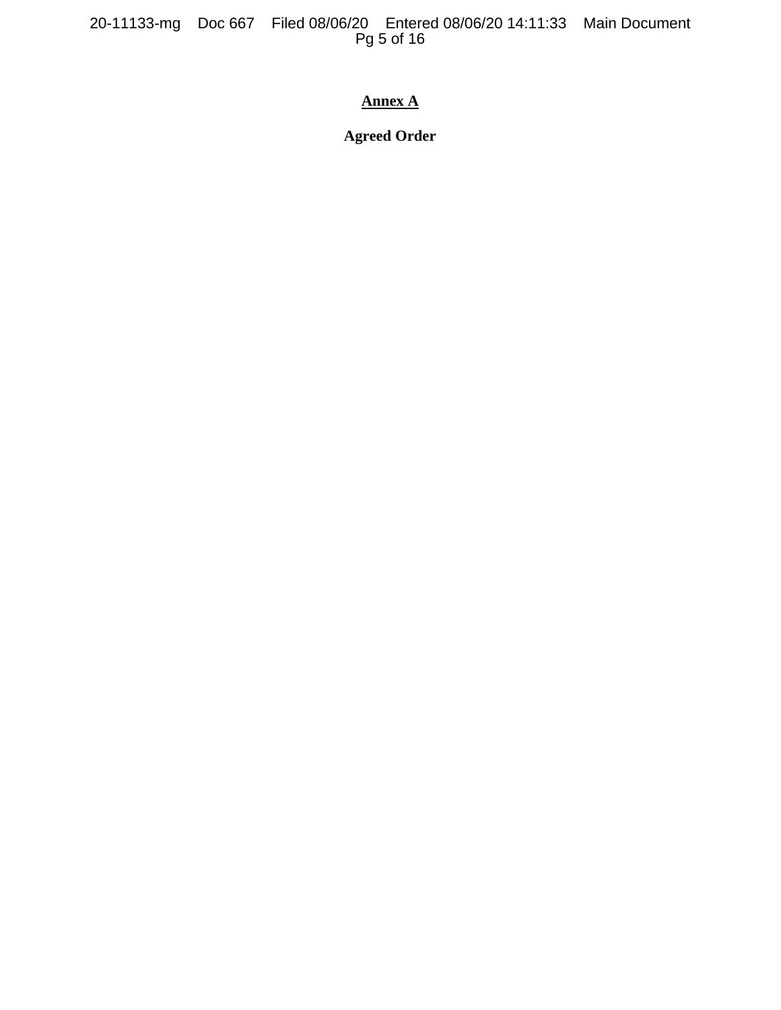20-11133-mg Doc 667 Filed 08/06/20 Entered 08/06/20 14:11:33 Main Document Pg 5 of 16

# **Annex A**

**Agreed Order**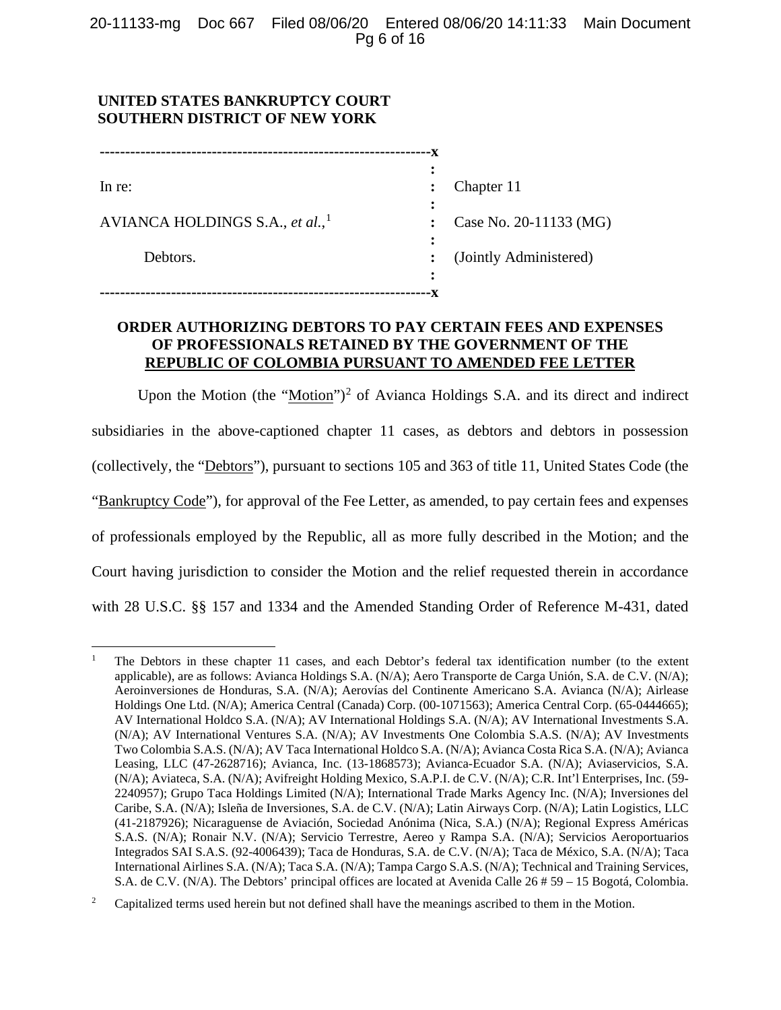# **UNITED STATES BANKRUPTCY COURT SOUTHERN DISTRICT OF NEW YORK**

| In re:                                      |   | Chapter 11             |
|---------------------------------------------|---|------------------------|
|                                             |   |                        |
| AVIANCA HOLDINGS S.A., et al., <sup>1</sup> |   | Case No. 20-11133 (MG) |
|                                             |   |                        |
| Debtors.                                    |   | (Jointly Administered) |
|                                             | : |                        |
|                                             |   |                        |

# **ORDER AUTHORIZING DEBTORS TO PAY CERTAIN FEES AND EXPENSES OF PROFESSIONALS RETAINED BY THE GOVERNMENT OF THE REPUBLIC OF COLOMBIA PURSUANT TO AMENDED FEE LETTER**

Upon the Motion (the "Motion")<sup>[2](#page-5-1)</sup> of Avianca Holdings S.A. and its direct and indirect subsidiaries in the above-captioned chapter 11 cases, as debtors and debtors in possession (collectively, the "Debtors"), pursuant to sections 105 and 363 of title 11, United States Code (the "Bankruptcy Code"), for approval of the Fee Letter, as amended, to pay certain fees and expenses of professionals employed by the Republic, all as more fully described in the Motion; and the Court having jurisdiction to consider the Motion and the relief requested therein in accordance with 28 U.S.C. §§ 157 and 1334 and the Amended Standing Order of Reference M-431, dated

<span id="page-5-0"></span><sup>1</sup> The Debtors in these chapter 11 cases, and each Debtor's federal tax identification number (to the extent applicable), are as follows: Avianca Holdings S.A. (N/A); Aero Transporte de Carga Unión, S.A. de C.V. (N/A); Aeroinversiones de Honduras, S.A. (N/A); Aerovías del Continente Americano S.A. Avianca (N/A); Airlease Holdings One Ltd. (N/A); America Central (Canada) Corp. (00-1071563); America Central Corp. (65-0444665); AV International Holdco S.A. (N/A); AV International Holdings S.A. (N/A); AV International Investments S.A. (N/A); AV International Ventures S.A. (N/A); AV Investments One Colombia S.A.S. (N/A); AV Investments Two Colombia S.A.S. (N/A); AV Taca International Holdco S.A. (N/A); Avianca Costa Rica S.A. (N/A); Avianca Leasing, LLC (47-2628716); Avianca, Inc. (13-1868573); Avianca-Ecuador S.A. (N/A); Aviaservicios, S.A. (N/A); Aviateca, S.A. (N/A); Avifreight Holding Mexico, S.A.P.I. de C.V. (N/A); C.R. Int'l Enterprises, Inc. (59- 2240957); Grupo Taca Holdings Limited (N/A); International Trade Marks Agency Inc. (N/A); Inversiones del Caribe, S.A. (N/A); Isleña de Inversiones, S.A. de C.V. (N/A); Latin Airways Corp. (N/A); Latin Logistics, LLC (41-2187926); Nicaraguense de Aviación, Sociedad Anónima (Nica, S.A.) (N/A); Regional Express Américas S.A.S. (N/A); Ronair N.V. (N/A); Servicio Terrestre, Aereo y Rampa S.A. (N/A); Servicios Aeroportuarios Integrados SAI S.A.S. (92-4006439); Taca de Honduras, S.A. de C.V. (N/A); Taca de México, S.A. (N/A); Taca International Airlines S.A. (N/A); Taca S.A. (N/A); Tampa Cargo S.A.S. (N/A); Technical and Training Services, S.A. de C.V. (N/A). The Debtors' principal offices are located at Avenida Calle 26 # 59 – 15 Bogotá, Colombia.

<span id="page-5-1"></span><sup>&</sup>lt;sup>2</sup> Capitalized terms used herein but not defined shall have the meanings ascribed to them in the Motion.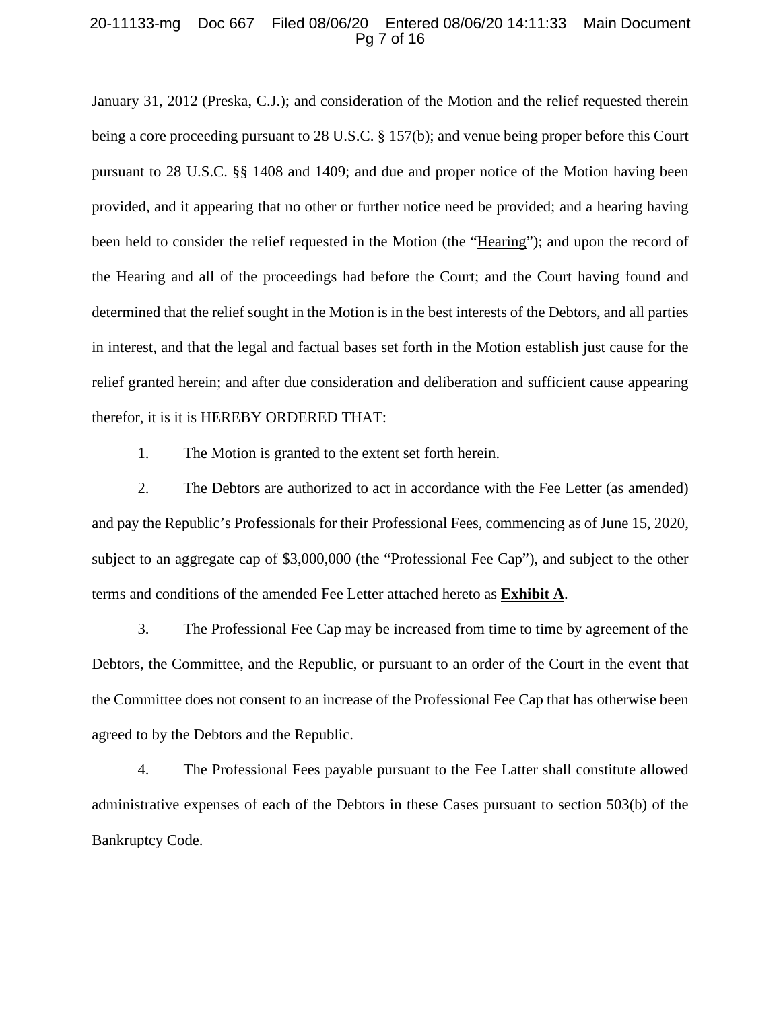### 20-11133-mg Doc 667 Filed 08/06/20 Entered 08/06/20 14:11:33 Main Document Pg 7 of 16

January 31, 2012 (Preska, C.J.); and consideration of the Motion and the relief requested therein being a core proceeding pursuant to 28 U.S.C. § 157(b); and venue being proper before this Court pursuant to 28 U.S.C. §§ 1408 and 1409; and due and proper notice of the Motion having been provided, and it appearing that no other or further notice need be provided; and a hearing having been held to consider the relief requested in the Motion (the "Hearing"); and upon the record of the Hearing and all of the proceedings had before the Court; and the Court having found and determined that the relief sought in the Motion is in the best interests of the Debtors, and all parties in interest, and that the legal and factual bases set forth in the Motion establish just cause for the relief granted herein; and after due consideration and deliberation and sufficient cause appearing therefor, it is it is HEREBY ORDERED THAT:

1. The Motion is granted to the extent set forth herein.

2. The Debtors are authorized to act in accordance with the Fee Letter (as amended) and pay the Republic's Professionals for their Professional Fees, commencing as of June 15, 2020, subject to an aggregate cap of \$3,000,000 (the "Professional Fee Cap"), and subject to the other terms and conditions of the amended Fee Letter attached hereto as **Exhibit A**.

3. The Professional Fee Cap may be increased from time to time by agreement of the Debtors, the Committee, and the Republic, or pursuant to an order of the Court in the event that the Committee does not consent to an increase of the Professional Fee Cap that has otherwise been agreed to by the Debtors and the Republic.

4. The Professional Fees payable pursuant to the Fee Latter shall constitute allowed administrative expenses of each of the Debtors in these Cases pursuant to section 503(b) of the Bankruptcy Code.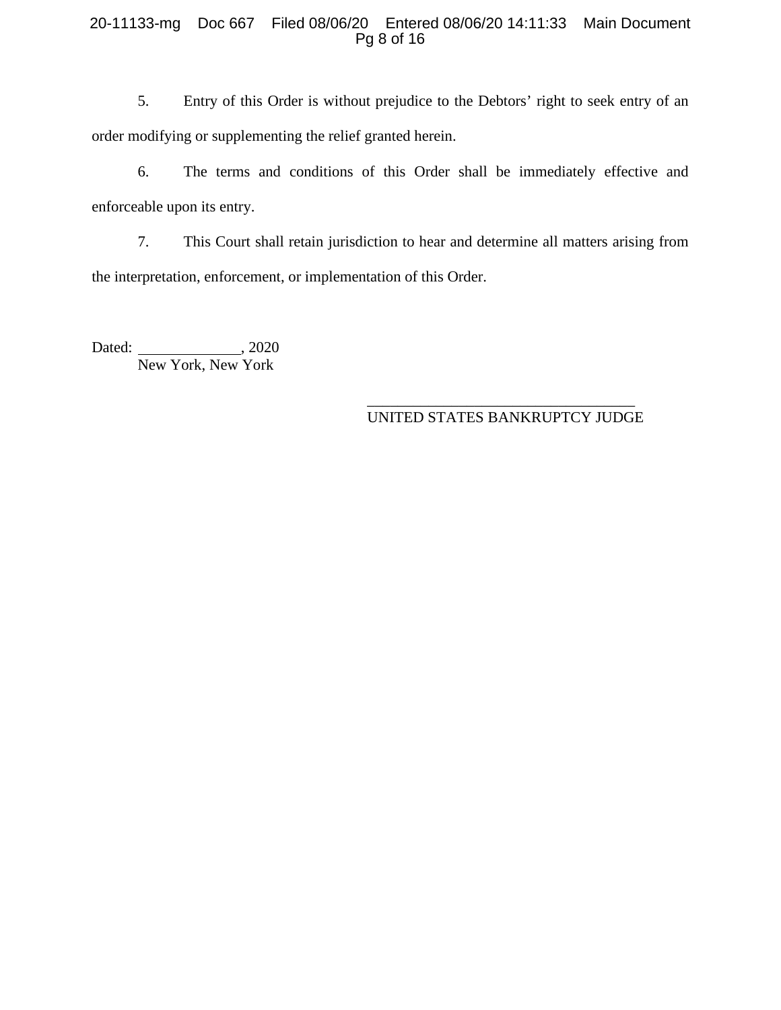## 20-11133-mg Doc 667 Filed 08/06/20 Entered 08/06/20 14:11:33 Main Document Pg 8 of 16

5. Entry of this Order is without prejudice to the Debtors' right to seek entry of an order modifying or supplementing the relief granted herein.

6. The terms and conditions of this Order shall be immediately effective and enforceable upon its entry.

7. This Court shall retain jurisdiction to hear and determine all matters arising from the interpretation, enforcement, or implementation of this Order.

Dated: , 2020 New York, New York

## \_\_\_\_\_\_\_\_\_\_\_\_\_\_\_\_\_\_\_\_\_\_\_\_\_\_\_\_\_\_\_\_\_\_\_ UNITED STATES BANKRUPTCY JUDGE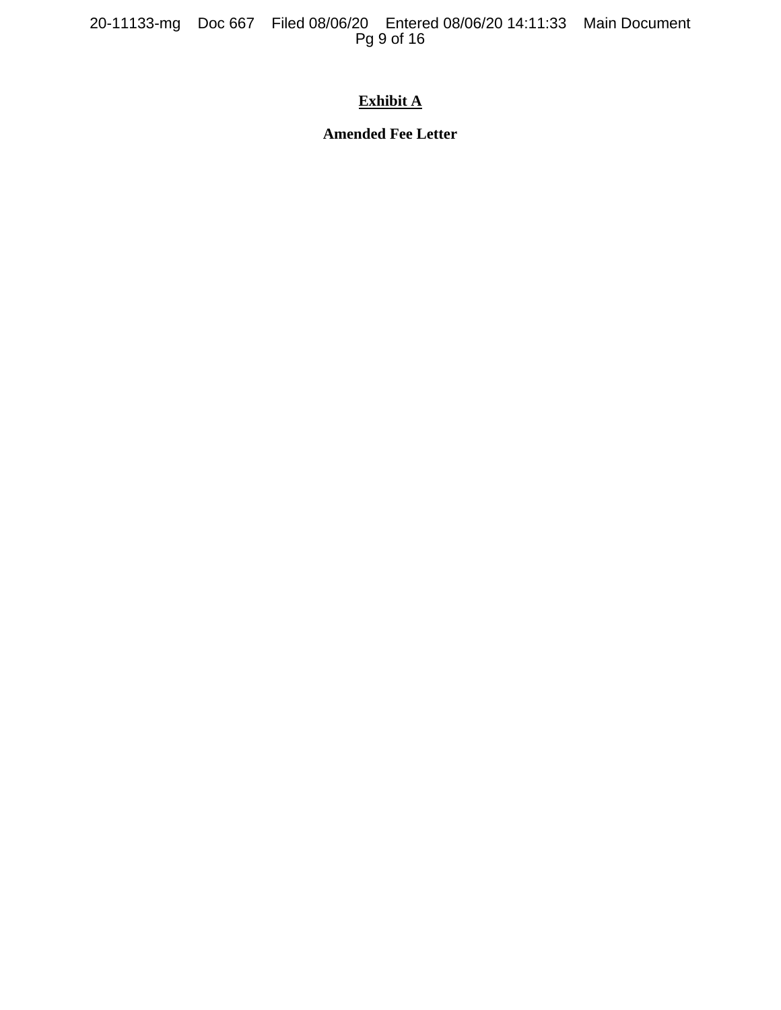20-11133-mg Doc 667 Filed 08/06/20 Entered 08/06/20 14:11:33 Main Document Pg 9 of 16

# **Exhibit A**

**Amended Fee Letter**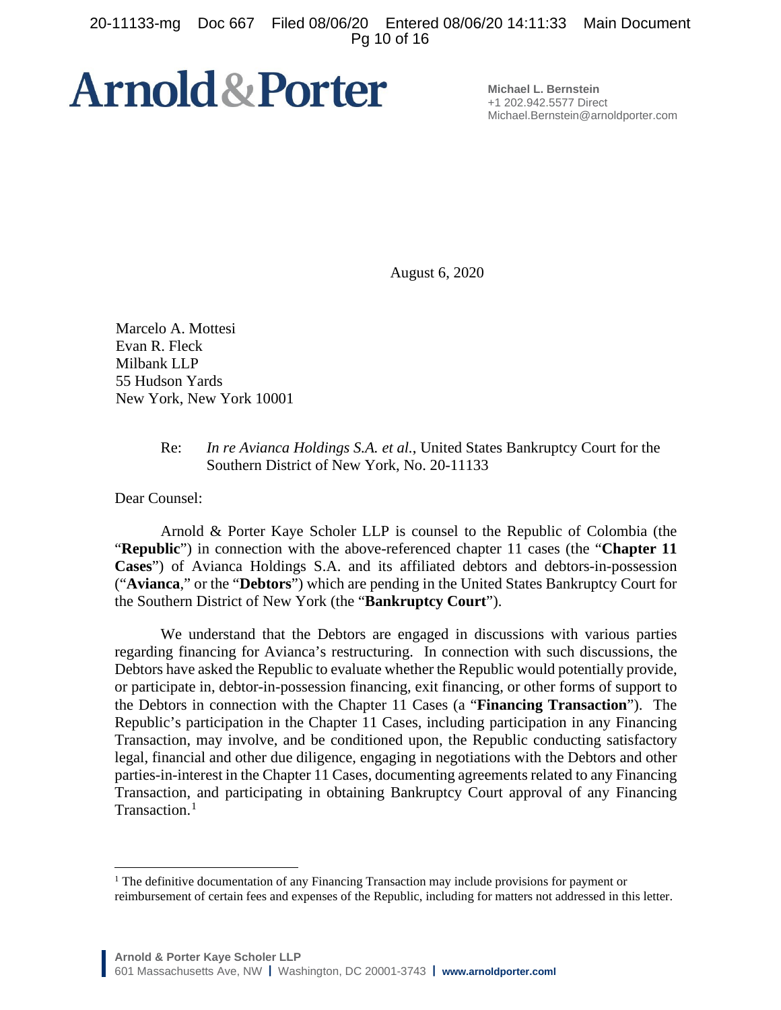20-11133-mg Doc 667 Filed 08/06/20 Entered 08/06/20 14:11:33 Main Document Pg 10 of 16

# **Arnold & Porter**

**Michael L. Bernstein** +1 202.942.5577 Direct Michael.Bernstein@arnoldporter.com

August 6, 2020

Marcelo A. Mottesi Evan R. Fleck Milbank LLP 55 Hudson Yards New York, New York 10001

## Re: *In re Avianca Holdings S.A. et al.*, United States Bankruptcy Court for the Southern District of New York, No. 20-11133

Dear Counsel:

Arnold & Porter Kaye Scholer LLP is counsel to the Republic of Colombia (the "**Republic**") in connection with the above-referenced chapter 11 cases (the "**Chapter 11 Cases**") of Avianca Holdings S.A. and its affiliated debtors and debtors-in-possession ("**Avianca**," or the "**Debtors**") which are pending in the United States Bankruptcy Court for the Southern District of New York (the "**Bankruptcy Court**").

We understand that the Debtors are engaged in discussions with various parties regarding financing for Avianca's restructuring. In connection with such discussions, the Debtors have asked the Republic to evaluate whether the Republic would potentially provide, or participate in, debtor-in-possession financing, exit financing, or other forms of support to the Debtors in connection with the Chapter 11 Cases (a "**Financing Transaction**"). The Republic's participation in the Chapter 11 Cases, including participation in any Financing Transaction, may involve, and be conditioned upon, the Republic conducting satisfactory legal, financial and other due diligence, engaging in negotiations with the Debtors and other parties-in-interest in the Chapter 11 Cases, documenting agreements related to any Financing Transaction, and participating in obtaining Bankruptcy Court approval of any Financing Transaction. [1](#page-9-0)

<span id="page-9-0"></span><sup>&</sup>lt;sup>1</sup> The definitive documentation of any Financing Transaction may include provisions for payment or reimbursement of certain fees and expenses of the Republic, including for matters not addressed in this letter.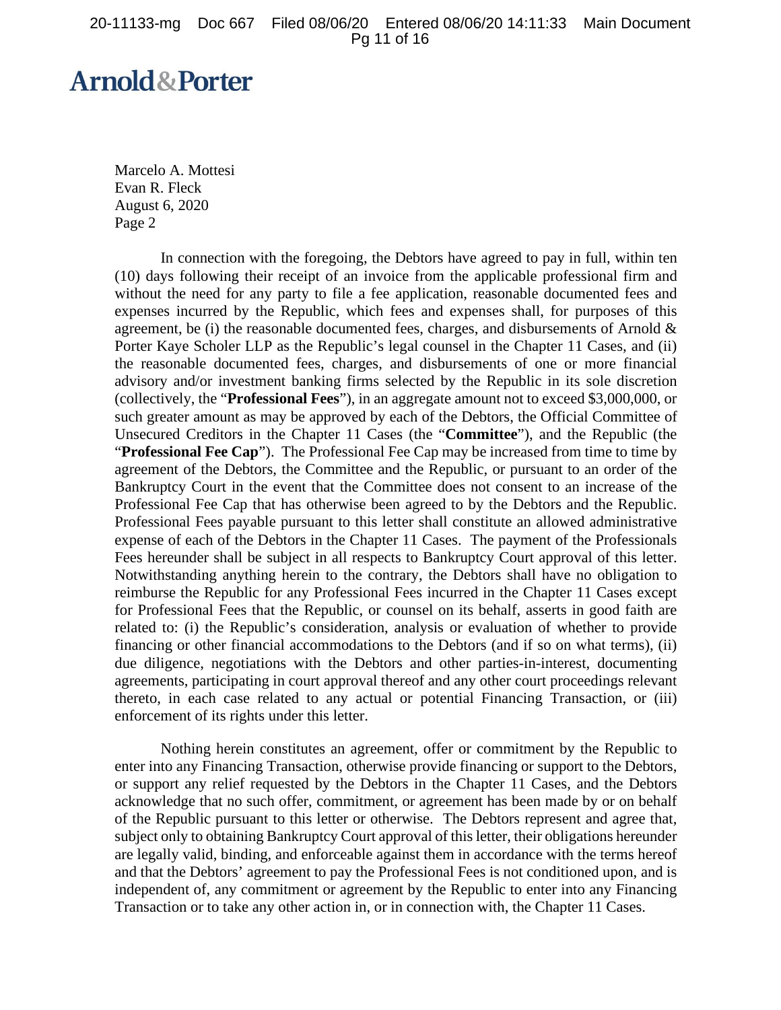# **Arnold&Porter**

Marcelo A. Mottesi Evan R. Fleck August 6, 2020 Page 2

In connection with the foregoing, the Debtors have agreed to pay in full, within ten (10) days following their receipt of an invoice from the applicable professional firm and without the need for any party to file a fee application, reasonable documented fees and expenses incurred by the Republic, which fees and expenses shall, for purposes of this agreement, be (i) the reasonable documented fees, charges, and disbursements of Arnold  $\&$ Porter Kaye Scholer LLP as the Republic's legal counsel in the Chapter 11 Cases, and (ii) the reasonable documented fees, charges, and disbursements of one or more financial advisory and/or investment banking firms selected by the Republic in its sole discretion (collectively, the "**Professional Fees**"), in an aggregate amount not to exceed \$3,000,000, or such greater amount as may be approved by each of the Debtors, the Official Committee of Unsecured Creditors in the Chapter 11 Cases (the "**Committee**"), and the Republic (the "**Professional Fee Cap**"). The Professional Fee Cap may be increased from time to time by agreement of the Debtors, the Committee and the Republic, or pursuant to an order of the Bankruptcy Court in the event that the Committee does not consent to an increase of the Professional Fee Cap that has otherwise been agreed to by the Debtors and the Republic. Professional Fees payable pursuant to this letter shall constitute an allowed administrative expense of each of the Debtors in the Chapter 11 Cases. The payment of the Professionals Fees hereunder shall be subject in all respects to Bankruptcy Court approval of this letter. Notwithstanding anything herein to the contrary, the Debtors shall have no obligation to reimburse the Republic for any Professional Fees incurred in the Chapter 11 Cases except for Professional Fees that the Republic, or counsel on its behalf, asserts in good faith are related to: (i) the Republic's consideration, analysis or evaluation of whether to provide financing or other financial accommodations to the Debtors (and if so on what terms), (ii) due diligence, negotiations with the Debtors and other parties-in-interest, documenting agreements, participating in court approval thereof and any other court proceedings relevant thereto, in each case related to any actual or potential Financing Transaction, or (iii) enforcement of its rights under this letter.

Nothing herein constitutes an agreement, offer or commitment by the Republic to enter into any Financing Transaction, otherwise provide financing or support to the Debtors, or support any relief requested by the Debtors in the Chapter 11 Cases, and the Debtors acknowledge that no such offer, commitment, or agreement has been made by or on behalf of the Republic pursuant to this letter or otherwise. The Debtors represent and agree that, subject only to obtaining Bankruptcy Court approval of this letter, their obligations hereunder are legally valid, binding, and enforceable against them in accordance with the terms hereof and that the Debtors' agreement to pay the Professional Fees is not conditioned upon, and is independent of, any commitment or agreement by the Republic to enter into any Financing Transaction or to take any other action in, or in connection with, the Chapter 11 Cases.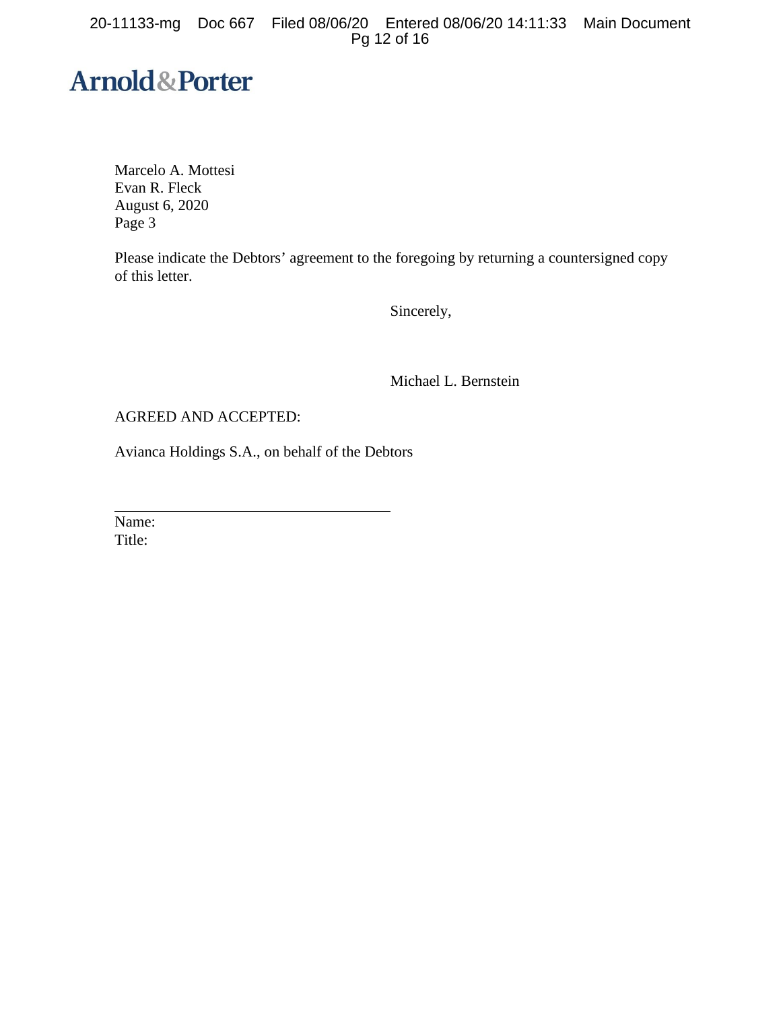20-11133-mg Doc 667 Filed 08/06/20 Entered 08/06/20 14:11:33 Main Document Pg 12 of 16

# **Arnold&Porter**

Marcelo A. Mottesi Evan R. Fleck August 6, 2020 Page 3

Please indicate the Debtors' agreement to the foregoing by returning a countersigned copy of this letter.

Sincerely,

Michael L. Bernstein

AGREED AND ACCEPTED:

Avianca Holdings S.A., on behalf of the Debtors

Name: Title: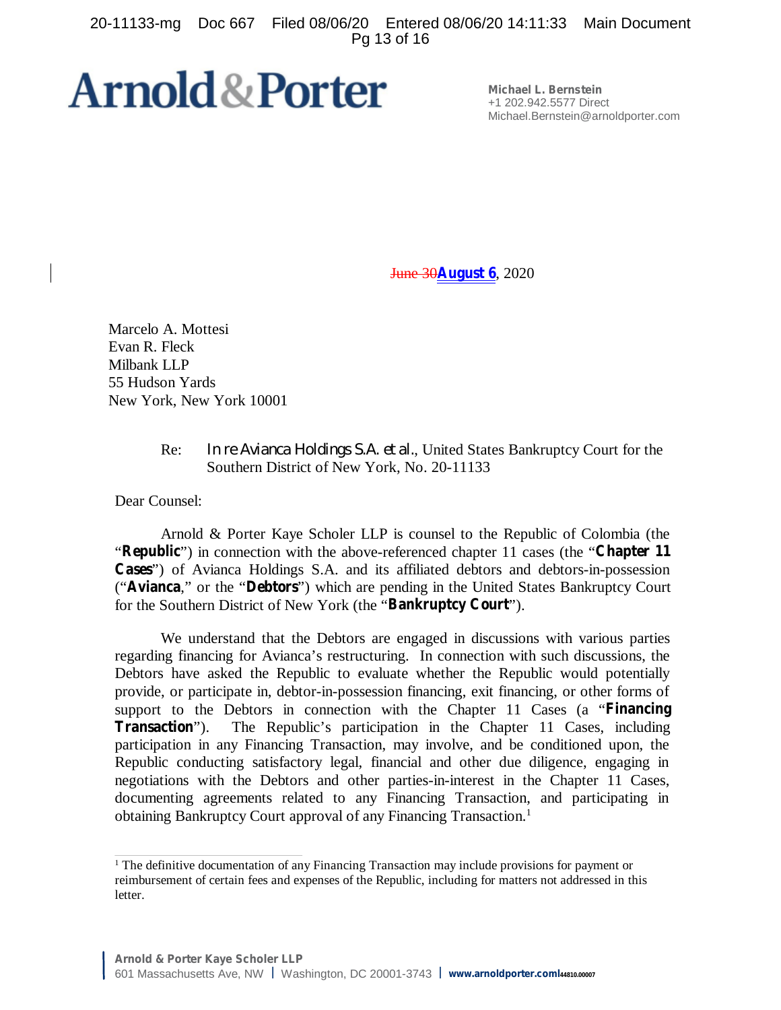20-11133-mg Doc 667 Filed 08/06/20 Entered 08/06/20 14:11:33 Main Document Pg 13 of 16

# **Arnold & Porter**

**Michael L. Bernstein** +1 202.942.5577 Direct Michael.Bernstein@arnoldporter.com

June 30**August 6**, 2020

Marcelo A. Mottesi Evan R. Fleck Milbank LLP 55 Hudson Yards New York, New York 10001

## Re: *In re Avianca Holdings S.A. et al.*, United States Bankruptcy Court for the Southern District of New York, No. 20-11133

Dear Counsel:

Arnold & Porter Kaye Scholer LLP is counsel to the Republic of Colombia (the "**Republic**") in connection with the above-referenced chapter 11 cases (the "**Chapter 11 Cases**") of Avianca Holdings S.A. and its affiliated debtors and debtors-in-possession ("**Avianca**," or the "**Debtors**") which are pending in the United States Bankruptcy Court for the Southern District of New York (the "**Bankruptcy Court**").

We understand that the Debtors are engaged in discussions with various parties regarding financing for Avianca's restructuring. In connection with such discussions, the Debtors have asked the Republic to evaluate whether the Republic would potentially provide, or participate in, debtor-in-possession financing, exit financing, or other forms of support to the Debtors in connection with the Chapter 11 Cases (a "**Financing Transaction**"). The Republic's participation in the Chapter 11 Cases, including participation in any Financing Transaction, may involve, and be conditioned upon, the Republic conducting satisfactory legal, financial and other due diligence, engaging in negotiations with the Debtors and other parties-in-interest in the Chapter 11 Cases, documenting agreements related to any Financing Transaction, and participating in obtaining Bankruptcy Court approval of any Financing Transaction.<sup>1</sup>

<sup>&</sup>lt;sup>1</sup> The definitive documentation of any Financing Transaction may include provisions for payment or reimbursement of certain fees and expenses of the Republic, including for matters not addressed in this letter.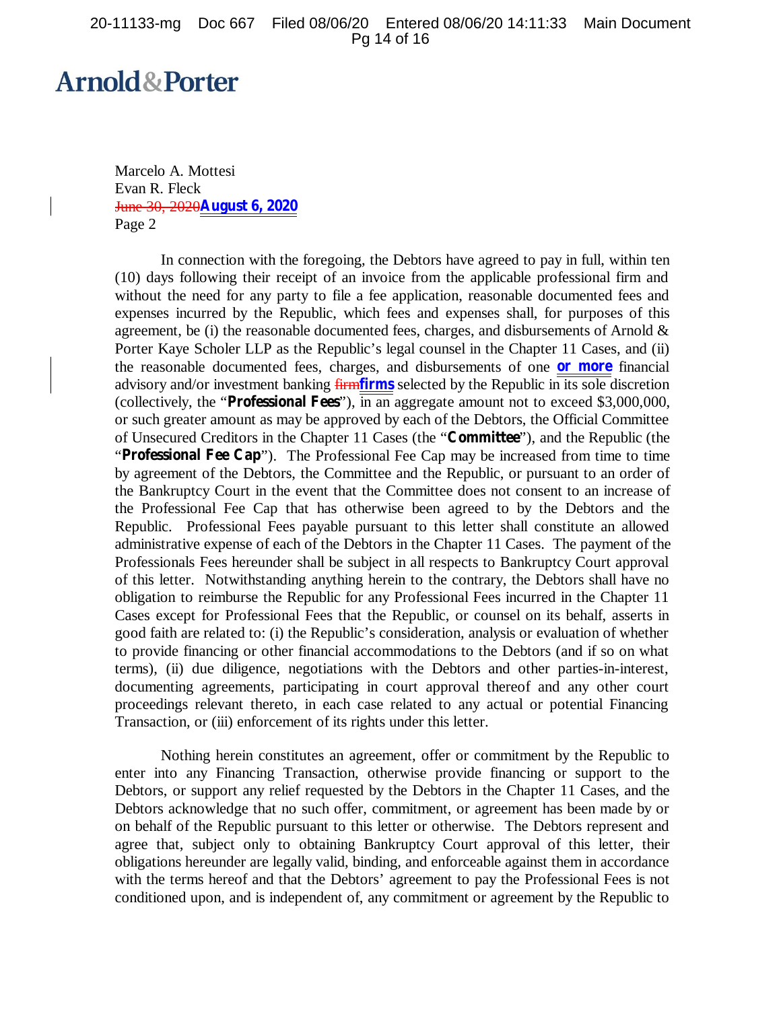# **Arnold&Porter**

Marcelo A. Mottesi Evan R. Fleck June 30, 2020**August 6, 2020** Page 2

In connection with the foregoing, the Debtors have agreed to pay in full, within ten (10) days following their receipt of an invoice from the applicable professional firm and without the need for any party to file a fee application, reasonable documented fees and expenses incurred by the Republic, which fees and expenses shall, for purposes of this agreement, be (i) the reasonable documented fees, charges, and disbursements of Arnold  $\&$ Porter Kaye Scholer LLP as the Republic's legal counsel in the Chapter 11 Cases, and (ii) the reasonable documented fees, charges, and disbursements of one **or more** financial advisory and/or investment banking firm**firms** selected by the Republic in its sole discretion (collectively, the "**Professional Fees**"), in an aggregate amount not to exceed \$3,000,000, or such greater amount as may be approved by each of the Debtors, the Official Committee of Unsecured Creditors in the Chapter 11 Cases (the "**Committee**"), and the Republic (the "**Professional Fee Cap**"). The Professional Fee Cap may be increased from time to time by agreement of the Debtors, the Committee and the Republic, or pursuant to an order of the Bankruptcy Court in the event that the Committee does not consent to an increase of the Professional Fee Cap that has otherwise been agreed to by the Debtors and the Republic. Professional Fees payable pursuant to this letter shall constitute an allowed administrative expense of each of the Debtors in the Chapter 11 Cases. The payment of the Professionals Fees hereunder shall be subject in all respects to Bankruptcy Court approval of this letter. Notwithstanding anything herein to the contrary, the Debtors shall have no obligation to reimburse the Republic for any Professional Fees incurred in the Chapter 11 Cases except for Professional Fees that the Republic, or counsel on its behalf, asserts in good faith are related to: (i) the Republic's consideration, analysis or evaluation of whether to provide financing or other financial accommodations to the Debtors (and if so on what terms), (ii) due diligence, negotiations with the Debtors and other parties-in-interest, documenting agreements, participating in court approval thereof and any other court proceedings relevant thereto, in each case related to any actual or potential Financing Transaction, or (iii) enforcement of its rights under this letter.

Nothing herein constitutes an agreement, offer or commitment by the Republic to enter into any Financing Transaction, otherwise provide financing or support to the Debtors, or support any relief requested by the Debtors in the Chapter 11 Cases, and the Debtors acknowledge that no such offer, commitment, or agreement has been made by or on behalf of the Republic pursuant to this letter or otherwise. The Debtors represent and agree that, subject only to obtaining Bankruptcy Court approval of this letter, their obligations hereunder are legally valid, binding, and enforceable against them in accordance with the terms hereof and that the Debtors' agreement to pay the Professional Fees is not conditioned upon, and is independent of, any commitment or agreement by the Republic to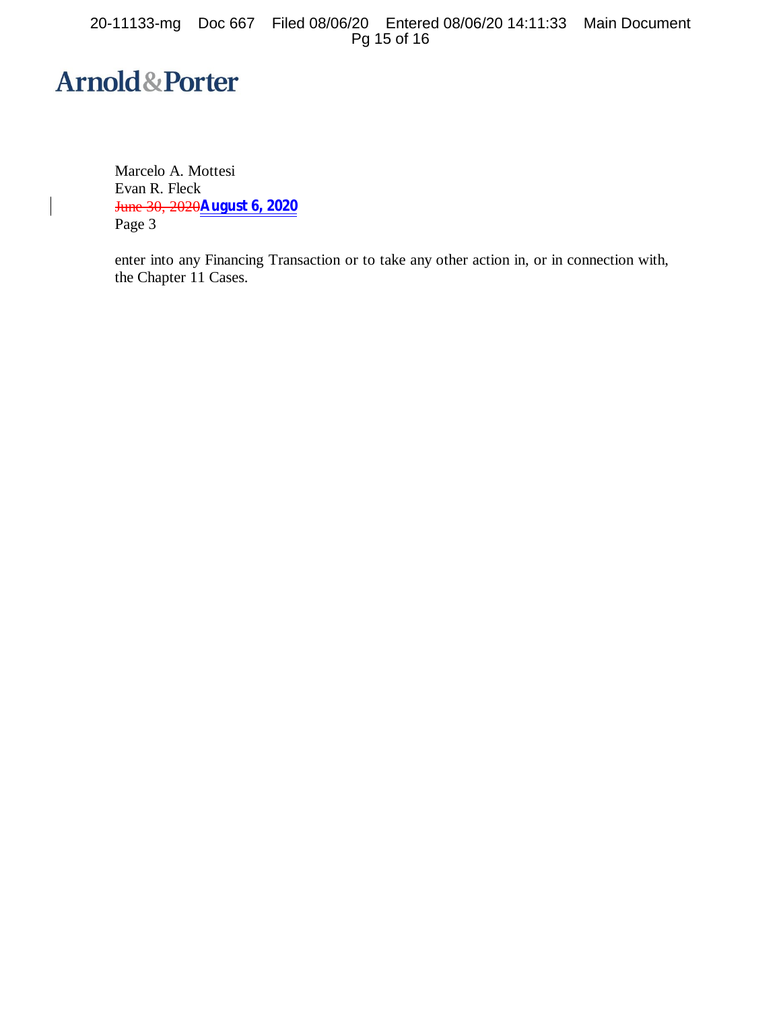20-11133-mg Doc 667 Filed 08/06/20 Entered 08/06/20 14:11:33 Main Document Pg 15 of 16

# **Arnold&Porter**

 $\overline{\phantom{a}}$ 

Marcelo A. Mottesi Evan R. Fleck June 30, 2020**August 6, 2020** Page 3

enter into any Financing Transaction or to take any other action in, or in connection with, the Chapter 11 Cases.